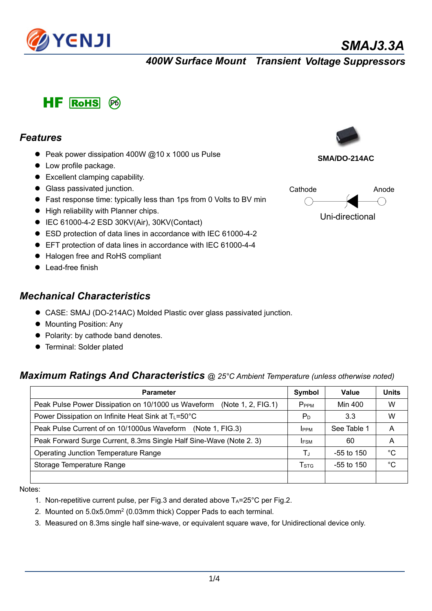

*SMAJ3.3A*

*400W Surface Mount Transient Voltage Suppressors*



#### *Features*

- Peak power dissipation 400W  $@10 \times 1000$  us Pulse
- $\bullet$  Low profile package.
- Excellent clamping capability.
- **•** Glass passivated junction.
- Fast response time: typically less than 1ps from 0 Volts to BV min
- $\bullet$  High reliability with Planner chips.
- $\bullet$  IEC 61000-4-2 ESD 30KV(Air), 30KV(Contact)
- ESD protection of data lines in accordance with IEC 61000-4-2
- EFT protection of data lines in accordance with IEC 61000-4-4
- Halogen free and RoHS compliant
- Lead-free finish

### *Mechanical Characteristics*

- CASE: SMAJ (DO-214AC) Molded Plastic over glass passivated junction.
- **Mounting Position: Any**
- Polarity: by cathode band denotes.
- **•** Terminal: Solder plated

### *Maximum Ratings And Characteristics @ 25°C Ambient Temperature (unless otherwise noted)*

| <b>Parameter</b>                                                          | Symbol           | Value        | <b>Units</b> |
|---------------------------------------------------------------------------|------------------|--------------|--------------|
| Peak Pulse Power Dissipation on 10/1000 us Waveform<br>(Note 1, 2, FIG.1) | P <sub>PPM</sub> | Min 400      | w            |
| Power Dissipation on Infinite Heat Sink at T <sub>L</sub> =50°C           | P <sub>D</sub>   | 3.3          | w            |
| Peak Pulse Current of on 10/1000us Waveform (Note 1, FIG.3)               | <b>IPPM</b>      | See Table 1  | A            |
| Peak Forward Surge Current, 8.3ms Single Half Sine-Wave (Note 2.3)        | <b>IFSM</b>      | 60           | A            |
| <b>Operating Junction Temperature Range</b>                               | Τ.               | $-55$ to 150 | $^{\circ}C$  |
| Storage Temperature Range                                                 | T <sub>STG</sub> | $-55$ to 150 | $^{\circ}C$  |
|                                                                           |                  |              |              |

Notes:

- 1. Non-repetitive current pulse, per Fig.3 and derated above  $Ta=25^{\circ}C$  per Fig.2.
- 2. Mounted on 5.0x5.0mm2 (0.03mm thick) Copper Pads to each terminal.
- 3. Measured on 8.3ms single half sine-wave, or equivalent square wave, for Unidirectional device only.



**SMA/DO-214AC**

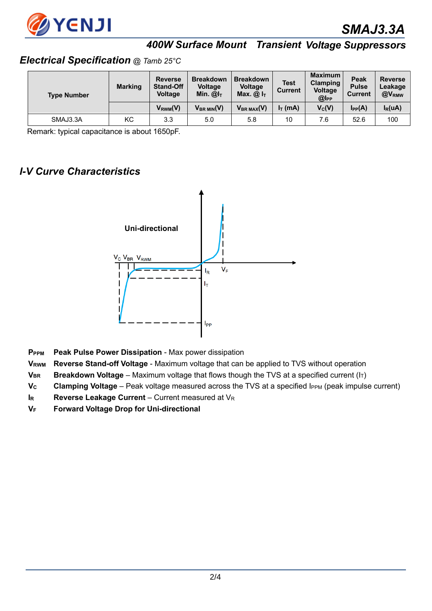

# *400W Surface Mount Transient Voltage Suppressors*

#### *Electrical Specification @ Tamb 25°C*

| <b>Type Number</b> | <b>Marking</b> | <b>Reverse</b><br><b>Stand-Off</b><br><b>Voltage</b> | <b>Breakdown</b><br><b>Voltage</b><br>Min. $@IT$ | <b>Breakdown</b><br><b>Voltage</b><br>Max. $@IT$ | <b>Test</b><br><b>Current</b> | <b>Maximum</b><br><b>Clamping</b><br><b>Voltage</b><br>@l <sub>PP</sub> | Peak<br><b>Pulse</b><br><b>Current</b> | <b>Reverse</b><br>Leakage<br>@V <sub>RMW</sub> |
|--------------------|----------------|------------------------------------------------------|--------------------------------------------------|--------------------------------------------------|-------------------------------|-------------------------------------------------------------------------|----------------------------------------|------------------------------------------------|
|                    |                | $V_{RWM}(V)$                                         | $V_{BR$ $MIN(V)$                                 | $V_{BR MAX}(V)$                                  | $I_T$ (mA)                    | $V_C(V)$                                                                | $I_{PP}(A)$                            | $I_R(uA)$                                      |
| SMAJ3.3A           | <b>KC</b>      | 3.3                                                  | 5.0                                              | 5.8                                              | 10                            | 7.6                                                                     | 52.6                                   | 100                                            |

Remark: typical capacitance is about 1650pF.

### *I-V Curve Characteristics*



- **PPPM Peak Pulse Power Dissipation**  Max power dissipation
- **VRWM Reverse Stand-off Voltage**  Maximum voltage that can be applied to TVS without operation
- **VBR** Breakdown Voltage Maximum voltage that flows though the TVS at a specified current (I<sub>T</sub>)
- **V<sub>c</sub> Clamping Voltage** Peak voltage measured across the TVS at a specified IPPM (peak impulse current)
- **IR Reverse Leakage Current** Current measured at V<sub>R</sub>
- **VF Forward Voltage Drop for Uni-directional**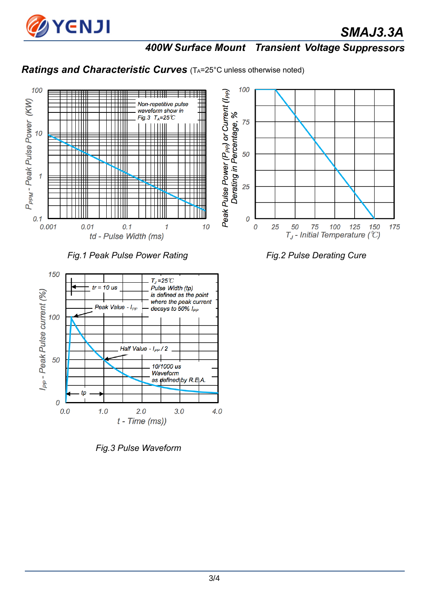

*SMAJ3.3A*

# *400W Surface Mount Transient Voltage Suppressors*

# **Ratings and Characteristic Curves** (TA=25°C unless otherwise noted)



Fig.1 Peak Pulse Power Rating Fig.2 Pulse Derating Cure



*Fig.3 Pulse Waveform*